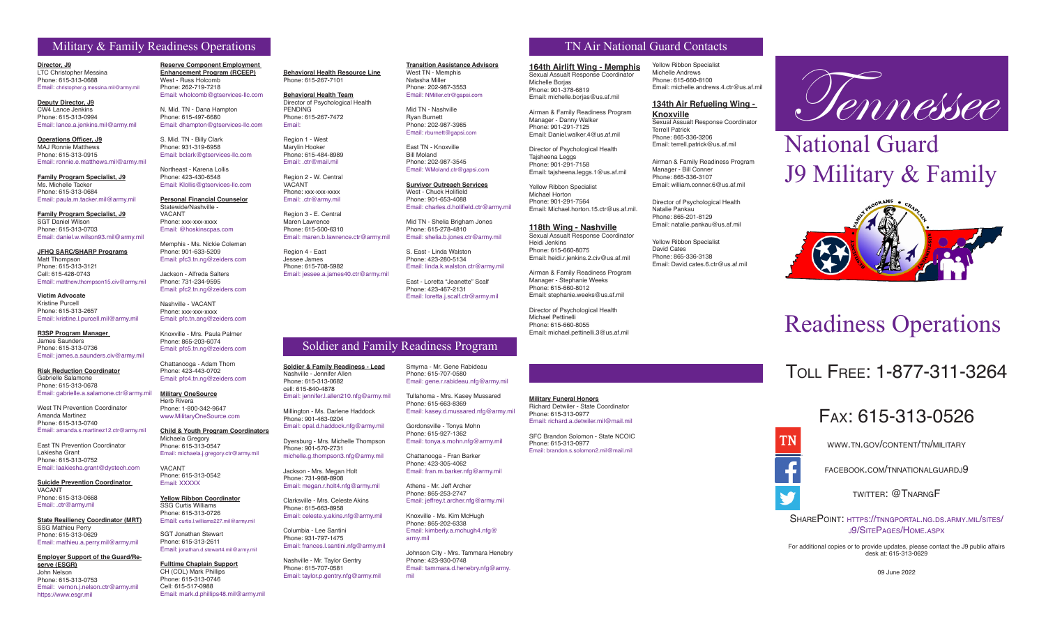# Military & Family Readiness Operations TN Air National Guard Contacts

**Director, J9** LTC Christopher Messina Phone: 615-313-0688 Email: christopher.g.messina.mil@army.mil

**Deputy Director, J9** CW4 Lance Jenkins Phone: 615-313-0994 Email: lance.a.jenkins.mil@army.mil

**Operations Officer, J9** MAJ Ronnie Matthews Phone: 615-313-0915 Email: ronnie.e.matthews.mil@army.mil

**Family Program Specialist, J9** Ms. Michelle Tacker Phone: 615-313-0684 Email: paula.m.tacker.mil@army.mil

**Family Program Specialist, J9** SGT Daniel Wilson Phone: 615-313-0703

Email: daniel.w.wilson93.mil@army.mil

**JFHQ SARC/SHARP Programs** Matt Thompson Phone: 615-313-3121 Cell: 615-428-0743 Email: matthew.thompson15.civ@army.mil

**Victim Advocate** Kristine Purcell Phone: 615-313-2657 Email: kristine.l.purcell.mil@army.mil

**R3SP Program Manager**  James Saunders Phone: 615-313-0736 Email: james.a.saunders.civ@army.mil

**Risk Reduction Coordinator** Gabrielle Salamone Phone: 615-313-0678 Email: gabrielle.a.salamone.ctr@army.mil

West TN Prevention Coordinator Amanda Martinez Phone: 615-313-0740 Email: amanda.s.martinez12.ctr@army.mil

East TN Prevention Coordinator Lakiesha Grant Phone: 615-313-0752 Email: laakiesha.grant@dystech.com

**Suicide Prevention Coordinator**  VACANT Phone: 615-313-0668 Email: .ctr@army.mil

**State Resiliency Coordinator (MRT)** SSG Mathieu Perry Phone: 615-313-0629 Email: mathieu.a.perry.mil@army.mil

**Employer Support of the Guard/Reserve (ESGR)** John Nelson Phone: 615-313-0753 Email: vernon.i.nelson.ctr@army.mil https://www.esgr.mil

**Reserve Component Employment Enhancement Program (RCEEP)** West - Russ Holcomb Phone: 262-719-7218 Email: wholcomb@gtservices-llc.com

N. Mid. TN - Dana Hampton Phone: 615-497-6680 Email: dhampton@gtservices-llc.com

S. Mid. TN - Billy Clark Phone: 931-319-6958 Email: bclark@gtservices-llc.com Region 1 - West Marylin Hooker Phone: 615-484-8989 Email: ctr@mail.mil

**Behavioral Health Resource Line** Phone: 615-267-7101 **Behavioral Health Team** Director of Psychological Health

PENDING Phone: 615-267-7472

Region 2 - W. Central VACANT Phone: xxx-xxx-xxxx Email: .ctr@army.mil Region 3 - E. Central Maren Lawrence Phone: 615-500-6310

Region 4 - East Jessee James Phone: 615-708-5982

Phone: 615-313-0682 cell: 615-840-4878

Phone: 901-570-2731

Columbia - Lee Santini Phone: 931-797-1475

Email: maren.b.lawrence.ctr@army.mil

Email: jessee.a.james40.ctr@army.mil

Email: jennifer.l.allen210.nfg@army.mil Millington - Ms. Darlene Haddock Phone: 901-463-0204

Email: opal.d.haddock.nfg@army.mil Dyersburg - Mrs. Michelle Thompson

michelle.g.thompson3.nfg@army.mil Jackson - Mrs. Megan Holt Phone: 731-988-8908 Email: megan.r.holt4.nfg@army.mil Clarksville - Mrs. Celeste Akins Phone: 615-663-8958

Email: celeste.y.akins.nfg@army.mil

Email: frances.l.santini.nfg@army.mil Nashville - Mr. Taylor Gentry Phone: 615-707-0581 Email: taylor.p.gentry.nfg@army.mil

Email:

Northeast - Karena Lollis Phone: 423-430-6548 Email: Klollis@gtservices-llc.com

**Personal Financial Counselor** Statewide/Nashville - VACANT Phone: xxx-xxx-xxxx Email: @hoskinscpas.com

Memphis - Ms. Nickie Coleman Phone: 901-633-5209 Email: pfc3.tn.ng@zeiders.com Jackson - Alfreda Salters

Phone: 731-234-9595 Email: pfc2.tn.ng@zeiders.com Nashville - VACANT

Phone: xxx-xxx-xxxx

Email: pfc.tn.ang@zeiders.com Knoxville - Mrs. Paula Palmer Phone: 865-203-6074

Email: pfc5.tn.ng@zeiders.com

Chattanooga - Adam Thorn Phone: 423-443-0702 Email: pfc4.tn.ng@zeiders.com

**Military OneSource** Herb Rivera Phone: 1-800-342-9647 www.MilitaryOneSource.com

**Child & Youth Program Coordinators**

Michaela Gregory Phone: 615-313-0547 Email: michaela.j.gregory.ctr@army.mil

VACANT Phone: 615-313-0542 Email: XXXXX

**Yellow Ribbon Coordinator** SSG Curtis Williams Phone: 615-313-0726

Email: curtis.l.williams227.mil@army.mil SGT Jonathan Stewart Phone: 615-313-2611 Email: jonathan.d.stewart4.mil@army.mil

**Fulltime Chaplain Support** CH (COL) Mark Phillips Phone: 615-313-0746 Cell: 615-517-0988 Email: mark.d.phillips48.mil@army.mil

**Transition Assistance Advisors** West TN - Memphis Natasha Miller Phone: 202-987-3553

Email: NMiller.ctr@gapsi.com Mid TN - Nashville Ryan Burnett

Phone: 202-987-3985 Email: rburnett@gapsi.com East TN - Knoxville

Bill Moland Phone: 202-987-3545 Email: WMoland.ctr@gapsi.com

**Survivor Outreach Services** West - Chuck Holifield Phone: 901-653-4088 Email: charles.d.holifield.ctr@army.mil

Mid TN - Shelia Brigham Jones Phone: 615-278-4810 Email: shelia.b.jones.ctr@army.mil

S. East - Linda Walston Phone: 423-280-5134 Email: linda.k.walston.ctr@army.mil

East - Loretta "Jeanette" Scalf Phone: 423-467-2131 Email: loretta.j.scalf.ctr@army.mil

# Soldier and Family Readiness Program

Smyrna - Mr. Gene Rabideau Phone: 615-707-0580 Email: gene.r.rabideau.nfg@army.mil

Tullahoma - Mrs. Kasey Mussared Phone: 615-663-8369 Email: kasey.d.mussared.nfg@army.mil

Phone: 423-305-4062 Email: fran.m.barker.nfg@army.mil

Phone: 865-253-2747 Email: jeffrey.t.archer.nfg@army.mil

Johnson City - Mrs. Tammara Henebry Phone: 423-930-0748 Email: tammara.d.henebry.nfg@army.

**164th Airlift Wing - Memphis** Sexual Assualt Response Coordinator Michelle Borjas Phone: 901-378-6819 Email: michelle.borias@us.af.mil

Airman & Family Readiness Program Manager - Danny Walker Phone: 901-291-7125 Email: Daniel.walker.4@us.af.mil

Director of Psychological Health Tajsheena Leggs Phone: 901-291-7158 Email: tajsheena.leggs.1@us.af.mil

Yellow Ribbon Specialist Michael Horton Phone: 901-291-7564 Email: Michael.horton.15.ctr@us.af.mil.

**118th Wing - Nashville** Sexual Assualt Response Coordinator Heidi Jenkins Phone: 615-660-8075 Email: heidi.r.jenkins.2.civ@us.af.mil

Airman & Family Readiness Program Manager - Stephanie Weeks Phone: 615-660-8012 Email: stephanie.weeks@us.af.mil

Michael Pettinelli Phone: 615-660-8055 Email: michael.pettinelli.3@us.af.mil

**Military Funeral Honors**

Phone: 615-313-0977

Email: brandon.s.solomon2.mil@mail.mil

Yellow Ribbon Specialist Michelle Andrews Phone: 615-660-8100 Email: michelle.andrews.4.ctr@us.af.mil

#### **134th Air Refueling Wing -**

**Knoxville** Sexual Assualt Response Coordinator Terrell Patrick Phone: 865-336-3206 Email: terrell.patrick@us.af.mil

Airman & Family Readiness Program Manager - Bill Conner Phone: 865-336-3107 Email: william.conner.6@us.af.mil

Director of Psychological Health Natalie Pankau Phone: 865-201-8129 Email: natalie.pankau@us.af.mil

Yellow Ribbon Specialist David Cates Phone: 865-336-3138 Email: David.cates.6.ctr@us.af.mil

Director of Psychological Health

Tennessee

# National Guard J9 Military & Family



# Readiness Operations

# Toll Free: 1-877-311-3264



www.tn.gov/content/tn/military

facebook.com/tnnationalguardj9

twitter: @TnarngF

SharePoint: https://tnngportal.ng.ds.army.mil/sites/ j9/SitePages/Home.aspx

For additional copies or to provide updates, please contact the J9 public affairs desk at: 615-313-0629

09 June 2022



Richard Detwiler - State Coordinator Phone: 615-313-0977 Email: richard.a.detwiler.mil@mail.mil SFC Brandon Solomon - State NCOIC

Chattanooga - Fran Barker

Athens - Mr. Jeff Archer

Knoxville - Ms. Kim McHugh Phone: 865-202-6338 Email: kimberly.a.mchugh4.nfg@ army.mil

mil

# **Soldier & Family Readiness - Lead** Nashville - Jennifer Allen